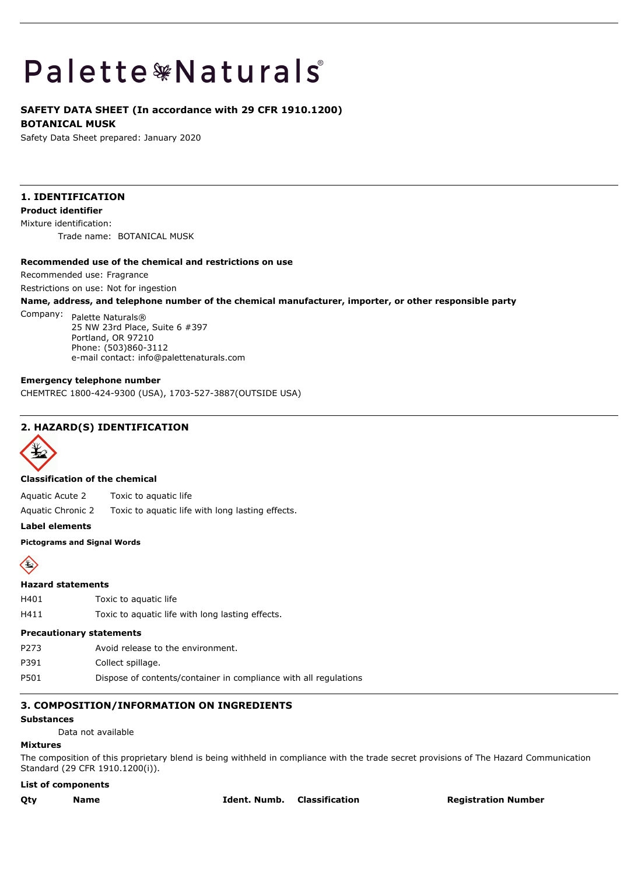# **Palette \*Naturals**

# **SAFETY DATA SHEET (In accordance with 29 CFR 1910.1200) BOTANICAL MUSK**

Safety Data Sheet prepared: January 2020

# **1. IDENTIFICATION**

**Product identifier**

Mixture identification: Trade name: BOTANICAL MUSK

#### **Recommended use of the chemical and restrictions on use**

Recommended use: Fragrance

Restrictions on use: Not for ingestion

**Name, address, and telephone number of the chemical manufacturer, importer, or other responsible party**

# Company: Palette Naturals® 25 NW 23rd Place, Suite 6 #397 Portland, OR 97210 Phone: (503)860-3112 e-mail contact: info@palettenaturals.com

# **Emergency telephone number**

CHEMTREC 1800-424-9300 (USA), 1703-527-3887(OUTSIDE USA)

# **2. HAZARD(S) IDENTIFICATION**



# **Classification of the chemical**

Aquatic Acute 2 Toxic to aquatic life

Aquatic Chronic 2 Toxic to aquatic life with long lasting effects.

**Label elements**

# **Pictograms and Signal Words**



#### **Hazard statements**

- H401 Toxic to aquatic life
- H411 Toxic to aquatic life with long lasting effects.

# **Precautionary statements**

- P273 Avoid release to the environment.
- P391 Collect spillage.
- P501 Dispose of contents/container in compliance with all regulations

# **3. COMPOSITION/INFORMATION ON INGREDIENTS**

#### **Substances**

Data not available

# **Mixtures**

The composition of this proprietary blend is being withheld in compliance with the trade secret provisions of The Hazard Communication Standard (29 CFR 1910.1200(i)).

# **List of components**

**Qty Name Ident. Numb. Classification Registration Number**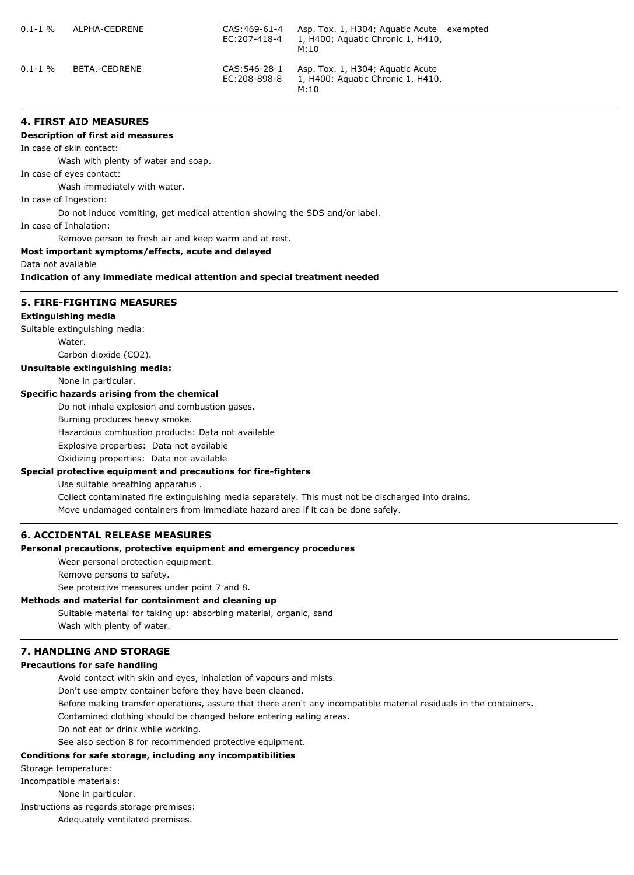| $0.1 - 1\%$ | ALPHA-CEDRENE | CAS:469-61-4<br>EC:207-418-4  | Asp. Tox. 1, H304; Aquatic Acute exempted<br>1, H400; Aquatic Chronic 1, H410,<br>M:10 |  |
|-------------|---------------|-------------------------------|----------------------------------------------------------------------------------------|--|
| $0.1 - 1\%$ | BETA.-CEDRENE | CAS: 546-28-1<br>EC:208-898-8 | Asp. Tox. 1, H304; Aguatic Acute<br>1, H400; Aquatic Chronic 1, H410,<br>M:10          |  |

# **4. FIRST AID MEASURES**

#### **Description of first aid measures**

In case of skin contact:

Wash with plenty of water and soap.

In case of eyes contact:

Wash immediately with water.

In case of Ingestion:

Do not induce vomiting, get medical attention showing the SDS and/or label.

In case of Inhalation:

Remove person to fresh air and keep warm and at rest.

# **Most important symptoms/effects, acute and delayed**

Data not available

**Indication of any immediate medical attention and special treatment needed**

# **5. FIRE-FIGHTING MEASURES**

#### **Extinguishing media**

Suitable extinguishing media:

Water.

Carbon dioxide (CO2).

## **Unsuitable extinguishing media:**

None in particular.

# **Specific hazards arising from the chemical**

Do not inhale explosion and combustion gases.

Burning produces heavy smoke.

Hazardous combustion products: Data not available

Explosive properties: Data not available

Oxidizing properties: Data not available

# **Special protective equipment and precautions for fire-fighters**

Use suitable breathing apparatus .

Collect contaminated fire extinguishing media separately. This must not be discharged into drains.

Move undamaged containers from immediate hazard area if it can be done safely.

# **6. ACCIDENTAL RELEASE MEASURES**

#### **Personal precautions, protective equipment and emergency procedures**

Wear personal protection equipment.

Remove persons to safety.

See protective measures under point 7 and 8.

# **Methods and material for containment and cleaning up**

Suitable material for taking up: absorbing material, organic, sand Wash with plenty of water.

# **7. HANDLING AND STORAGE**

#### **Precautions for safe handling**

Avoid contact with skin and eyes, inhalation of vapours and mists.

Don't use empty container before they have been cleaned.

Before making transfer operations, assure that there aren't any incompatible material residuals in the containers.

Contamined clothing should be changed before entering eating areas.

Do not eat or drink while working.

See also section 8 for recommended protective equipment.

# **Conditions for safe storage, including any incompatibilities**

Storage temperature:

Incompatible materials:

None in particular.

Instructions as regards storage premises:

Adequately ventilated premises.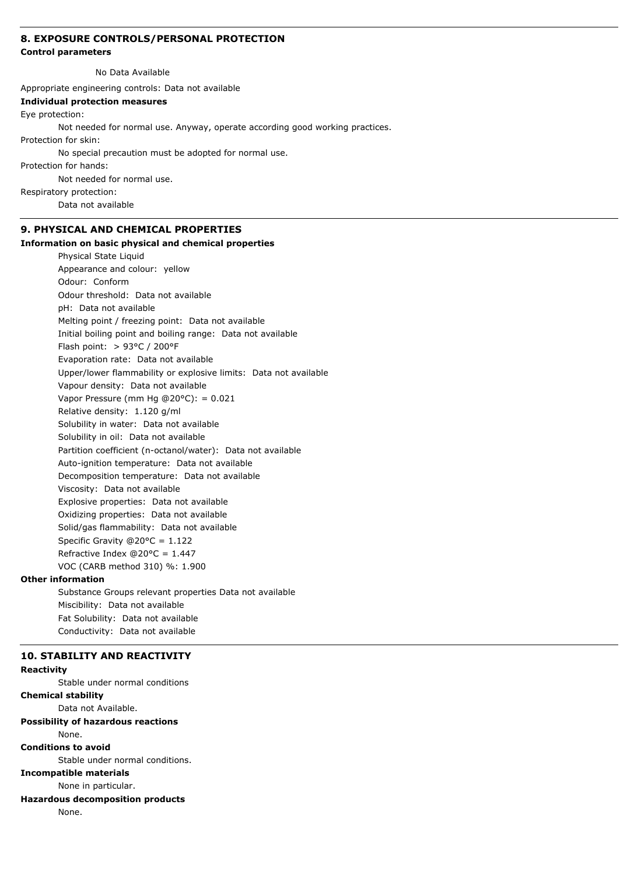# **8. EXPOSURE CONTROLS/PERSONAL PROTECTION**

#### **Control parameters**

No Data Available

Appropriate engineering controls: Data not available

**Individual protection measures**

#### Eye protection:

Not needed for normal use. Anyway, operate according good working practices.

Protection for skin:

No special precaution must be adopted for normal use.

Protection for hands:

Not needed for normal use.

Respiratory protection:

Data not available

# **9. PHYSICAL AND CHEMICAL PROPERTIES**

# **Information on basic physical and chemical properties**

Physical State Liquid Appearance and colour: yellow Odour: Conform Odour threshold: Data not available pH: Data not available Melting point / freezing point: Data not available Initial boiling point and boiling range: Data not available Flash point: > 93°C / 200°F Evaporation rate: Data not available Upper/lower flammability or explosive limits: Data not available Vapour density: Data not available Vapor Pressure (mm Hg @20 $^{\circ}$ C): = 0.021 Relative density: 1.120 g/ml Solubility in water: Data not available Solubility in oil: Data not available Partition coefficient (n-octanol/water): Data not available Auto-ignition temperature: Data not available Decomposition temperature: Data not available Viscosity: Data not available Explosive properties: Data not available Oxidizing properties: Data not available Solid/gas flammability: Data not available Specific Gravity @20°C = 1.122 Refractive Index  $@20°C = 1.447$ VOC (CARB method 310) %: 1.900

#### **Other information**

Substance Groups relevant properties Data not available Miscibility: Data not available Fat Solubility: Data not available Conductivity: Data not available

#### **10. STABILITY AND REACTIVITY**

#### **Reactivity**

Stable under normal conditions

**Chemical stability**

Data not Available.

# **Possibility of hazardous reactions**

None.

# **Conditions to avoid**

Stable under normal conditions.

# **Incompatible materials**

None in particular.

# **Hazardous decomposition products**

None.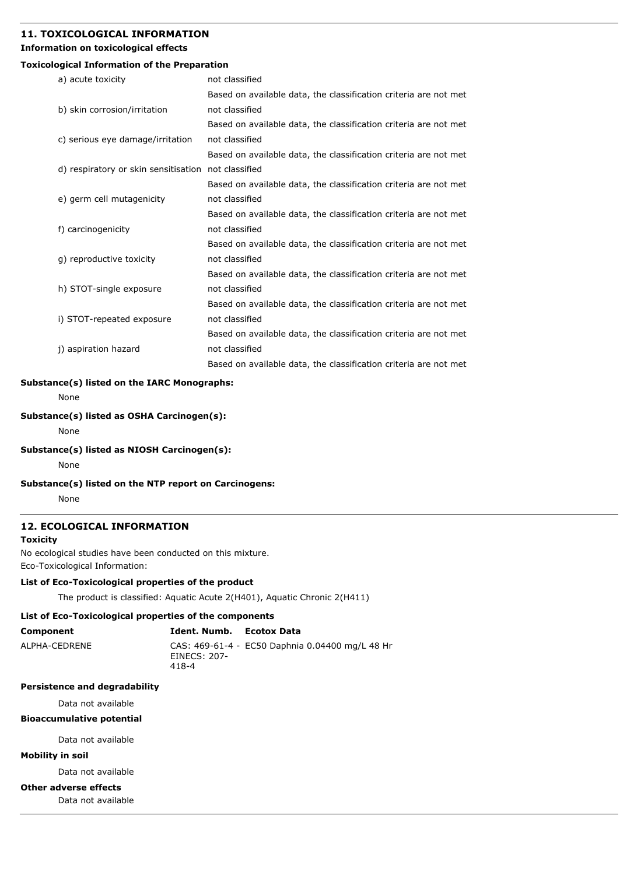# **11. TOXICOLOGICAL INFORMATION**

# **Information on toxicological effects**

# **Toxicological Information of the Preparation**

| a) acute toxicity                                   | not classified                                                   |
|-----------------------------------------------------|------------------------------------------------------------------|
|                                                     | Based on available data, the classification criteria are not met |
| b) skin corrosion/irritation                        | not classified                                                   |
|                                                     | Based on available data, the classification criteria are not met |
| c) serious eye damage/irritation                    | not classified                                                   |
|                                                     | Based on available data, the classification criteria are not met |
| d) respiratory or skin sensitisation not classified |                                                                  |
|                                                     | Based on available data, the classification criteria are not met |
| e) germ cell mutagenicity                           | not classified                                                   |
|                                                     | Based on available data, the classification criteria are not met |
| f) carcinogenicity                                  | not classified                                                   |
|                                                     | Based on available data, the classification criteria are not met |
| g) reproductive toxicity                            | not classified                                                   |
|                                                     | Based on available data, the classification criteria are not met |
| h) STOT-single exposure                             | not classified                                                   |
|                                                     | Based on available data, the classification criteria are not met |
| i) STOT-repeated exposure                           | not classified                                                   |
|                                                     | Based on available data, the classification criteria are not met |
| j) aspiration hazard                                | not classified                                                   |
|                                                     | Based on available data, the classification criteria are not met |

# **Substance(s) listed on the IARC Monographs:**

None

# **Substance(s) listed as OSHA Carcinogen(s):**

None

# **Substance(s) listed as NIOSH Carcinogen(s):**

None

#### **Substance(s) listed on the NTP report on Carcinogens:**

None

# **12. ECOLOGICAL INFORMATION**

# **Toxicity**

No ecological studies have been conducted on this mixture. Eco-Toxicological Information:

# **List of Eco-Toxicological properties of the product**

The product is classified: Aquatic Acute 2(H401), Aquatic Chronic 2(H411)

# **List of Eco-Toxicological properties of the components**

| Component     | Ident. Numb.          | Ecotox Data                                     |
|---------------|-----------------------|-------------------------------------------------|
| ALPHA-CEDRENE | EINECS: 207-<br>418-4 | CAS: 469-61-4 - EC50 Daphnia 0.04400 mg/L 48 Hr |

# **Persistence and degradability**

Data not available

# **Bioaccumulative potential**

Data not available

# **Mobility in soil**

Data not available

#### **Other adverse effects**

Data not available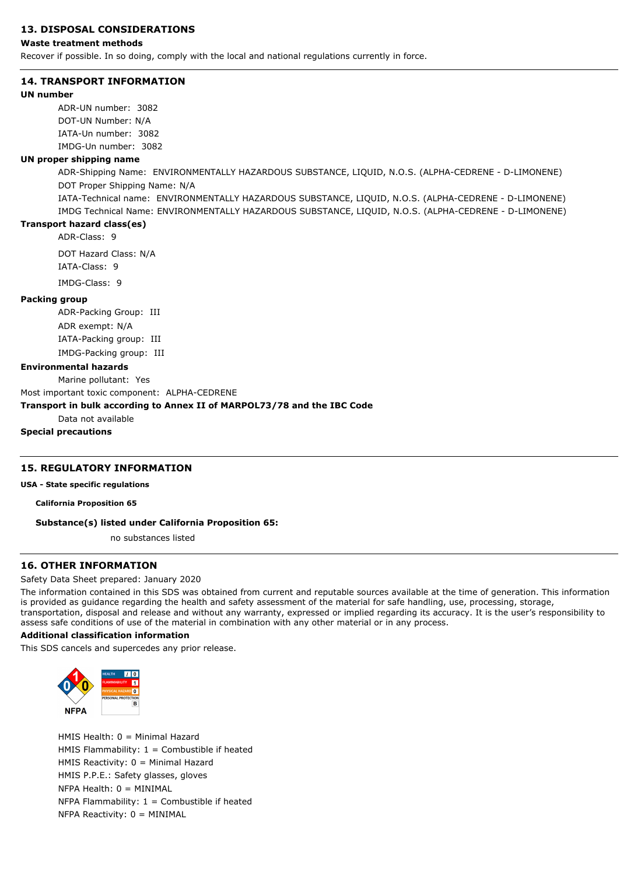# **13. DISPOSAL CONSIDERATIONS**

#### **Waste treatment methods**

Recover if possible. In so doing, comply with the local and national regulations currently in force.

#### **14. TRANSPORT INFORMATION**

#### **UN number**

ADR-UN number: 3082 DOT-UN Number: N/A IATA-Un number: 3082 IMDG-Un number: 3082

# **UN proper shipping name**

ADR-Shipping Name: ENVIRONMENTALLY HAZARDOUS SUBSTANCE, LIQUID, N.O.S. (ALPHA-CEDRENE - D-LIMONENE) DOT Proper Shipping Name: N/A

IATA-Technical name: ENVIRONMENTALLY HAZARDOUS SUBSTANCE, LIQUID, N.O.S. (ALPHA-CEDRENE - D-LIMONENE) IMDG Technical Name: ENVIRONMENTALLY HAZARDOUS SUBSTANCE, LIQUID, N.O.S. (ALPHA-CEDRENE - D-LIMONENE)

#### **Transport hazard class(es)**

ADR-Class: 9

DOT Hazard Class: N/A IATA-Class: 9 IMDG-Class: 9

#### **Packing group**

ADR-Packing Group: III ADR exempt: N/A IATA-Packing group: III IMDG-Packing group: III

#### **Environmental hazards**

#### Marine pollutant: Yes

Most important toxic component: ALPHA-CEDRENE

# **Transport in bulk according to Annex II of MARPOL73/78 and the IBC Code**

Data not available

**Special precautions**

# **15. REGULATORY INFORMATION**

**USA - State specific regulations**

**California Proposition 65**

# **Substance(s) listed under California Proposition 65:**

no substances listed

# **16. OTHER INFORMATION**

#### Safety Data Sheet prepared: January 2020

The information contained in this SDS was obtained from current and reputable sources available at the time of generation. This information is provided as guidance regarding the health and safety assessment of the material for safe handling, use, processing, storage, transportation, disposal and release and without any warranty, expressed or implied regarding its accuracy. It is the user's responsibility to assess safe conditions of use of the material in combination with any other material or in any process.

#### **Additional classification information**

This SDS cancels and supercedes any prior release.



HMIS Health: 0 = Minimal Hazard HMIS Flammability:  $1 =$  Combustible if heated HMIS Reactivity: 0 = Minimal Hazard HMIS P.P.E.: Safety glasses, gloves  $NFPA Health: 0 = MINIMAL$ NFPA Flammability:  $1 =$  Combustible if heated  $NFPA$  Reactivity:  $0 = MINIMAL$